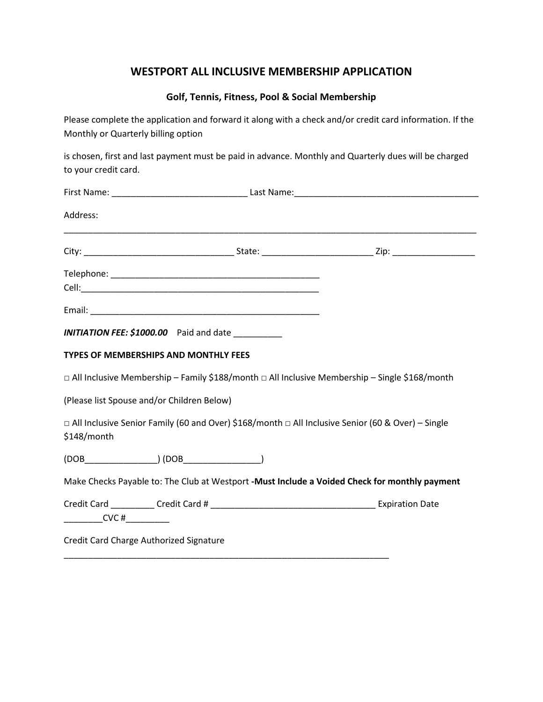## **WESTPORT ALL INCLUSIVE MEMBERSHIP APPLICATION**

## **Golf, Tennis, Fitness, Pool & Social Membership**

Please complete the application and forward it along with a check and/or credit card information. If the Monthly or Quarterly billing option

is chosen, first and last payment must be paid in advance. Monthly and Quarterly dues will be charged to your credit card.

| Address:                  |                                                                                                         |                                                                                                     |
|---------------------------|---------------------------------------------------------------------------------------------------------|-----------------------------------------------------------------------------------------------------|
|                           |                                                                                                         |                                                                                                     |
|                           |                                                                                                         |                                                                                                     |
|                           |                                                                                                         |                                                                                                     |
|                           |                                                                                                         |                                                                                                     |
|                           | INITIATION FEE: \$1000.00 Paid and date __________                                                      |                                                                                                     |
|                           | <b>TYPES OF MEMBERSHIPS AND MONTHLY FEES</b>                                                            |                                                                                                     |
|                           |                                                                                                         | □ All Inclusive Membership - Family \$188/month □ All Inclusive Membership - Single \$168/month     |
|                           | (Please list Spouse and/or Children Below)                                                              |                                                                                                     |
| \$148/month               |                                                                                                         | □ All Inclusive Senior Family (60 and Over) \$168/month □ All Inclusive Senior (60 & Over) – Single |
|                           | $\left( \text{DOB}\_\_\_\_\_\_\_\_\_\_\_\_ \right) \left( \text{DOB}\_\_\_\_\_\_\_\_\_\_\_\_\_ \right)$ |                                                                                                     |
|                           |                                                                                                         | Make Checks Payable to: The Club at Westport -Must Include a Voided Check for monthly payment       |
|                           |                                                                                                         |                                                                                                     |
| __________CVC #__________ |                                                                                                         |                                                                                                     |
|                           | Credit Card Charge Authorized Signature                                                                 |                                                                                                     |

\_\_\_\_\_\_\_\_\_\_\_\_\_\_\_\_\_\_\_\_\_\_\_\_\_\_\_\_\_\_\_\_\_\_\_\_\_\_\_\_\_\_\_\_\_\_\_\_\_\_\_\_\_\_\_\_\_\_\_\_\_\_\_\_\_\_\_